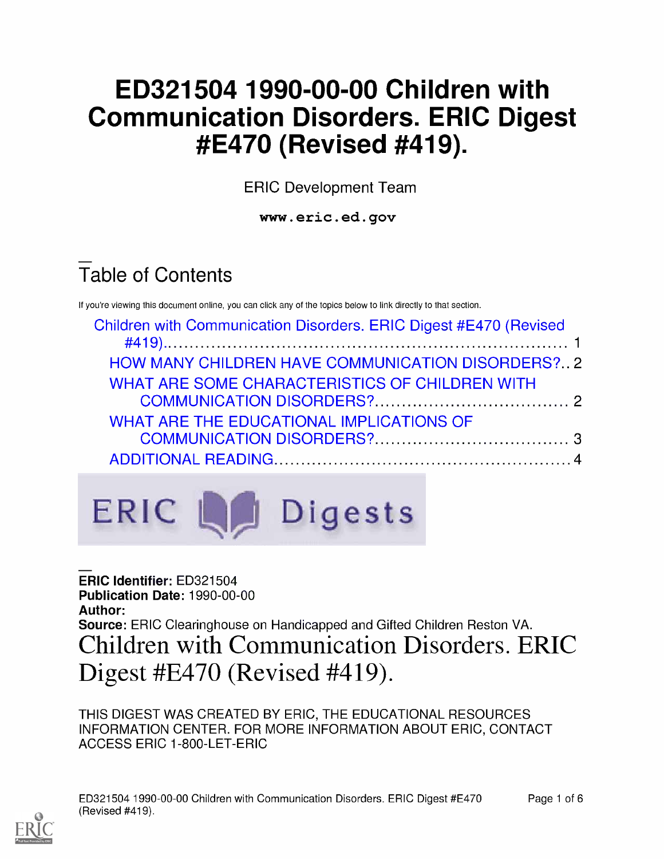## ED321504 1990-00-00 Children with Communication Disorders. ERIC Digest #E470 (Revised #419).

ERIC Development Team

www.eric.ed.gov

# Table of Contents

If you're viewing this document online, you can click any of the topics below to link directly to that section.

| Children with Communication Disorders. ERIC Digest #E470 (Revised |  |
|-------------------------------------------------------------------|--|
|                                                                   |  |
| HOW MANY CHILDREN HAVE COMMUNICATION DISORDERS? 2                 |  |
| WHAT ARE SOME CHARACTERISTICS OF CHILDREN WITH                    |  |
|                                                                   |  |
| WHAT ARE THE EDUCATIONAL IMPLICATIONS OF                          |  |
|                                                                   |  |
|                                                                   |  |
|                                                                   |  |



ERIC Identifier: ED321504 Publication Date: 1990-00-00 Author: Source: ERIC Clearinghouse on Handicapped and Gifted Children Reston VA. Children with Communication Disorders. ERIC Digest #E470 (Revised #419).

THIS DIGEST WAS CREATED BY ERIC, THE EDUCATIONAL RESOURCES INFORMATION CENTER. FOR MORE INFORMATION ABOUT ERIC, CONTACT ACCESS ERIC 1-800-LET-ERIC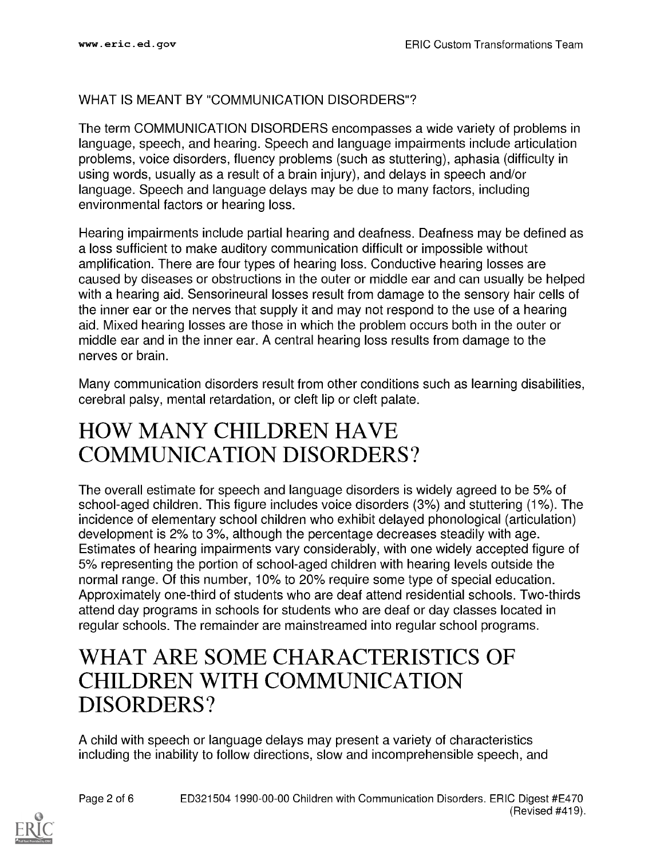#### WHAT IS MEANT BY "COMMUNICATION DISORDERS"?

The term COMMUNICATION DISORDERS encompasses a wide variety of problems in language, speech, and hearing. Speech and language impairments include articulation problems, voice disorders, fluency problems (such as stuttering), aphasia (difficulty in using words, usually as a result of a brain injury), and delays in speech and/or language. Speech and language delays may be due to many factors, including environmental factors or hearing loss.

Hearing impairments include partial hearing and deafness. Deafness may be defined as a loss sufficient to make auditory communication difficult or impossible without amplification. There are four types of hearing loss. Conductive hearing losses are caused by diseases or obstructions in the outer or middle ear and can usually be helped with a hearing aid. Sensorineural losses result from damage to the sensory hair cells of the inner ear or the nerves that supply it and may not respond to the use of a hearing aid. Mixed hearing losses are those in which the problem occurs both in the outer or middle ear and in the inner ear. A central hearing loss results from damage to the nerves or brain.

Many communication disorders result from other conditions such as learning disabilities, cerebral palsy, mental retardation, or cleft lip or cleft palate.

#### HOW MANY CHILDREN HAVE COMMUNICATION DISORDERS?

The overall estimate for speech and language disorders is widely agreed to be 5% of school-aged children. This figure includes voice disorders (3%) and stuttering (1%). The incidence of elementary school children who exhibit delayed phonological (articulation) development is 2% to 3%, although the percentage decreases steadily with age. Estimates of hearing impairments vary considerably, with one widely accepted figure of 5% representing the portion of school-aged children with hearing levels outside the normal range. Of this number, 10% to 20% require some type of special education. Approximately one-third of students who are deaf attend residential schools. Two-thirds attend day programs in schools for students who are deaf or day classes located in regular schools. The remainder are mainstreamed into regular school programs.

#### WHAT ARE SOME CHARACTERISTICS OF CHILDREN WITH COMMUNICATION DISORDERS?

A child with speech or language delays may present a variety of characteristics including the inability to follow directions, slow and incomprehensible speech, and

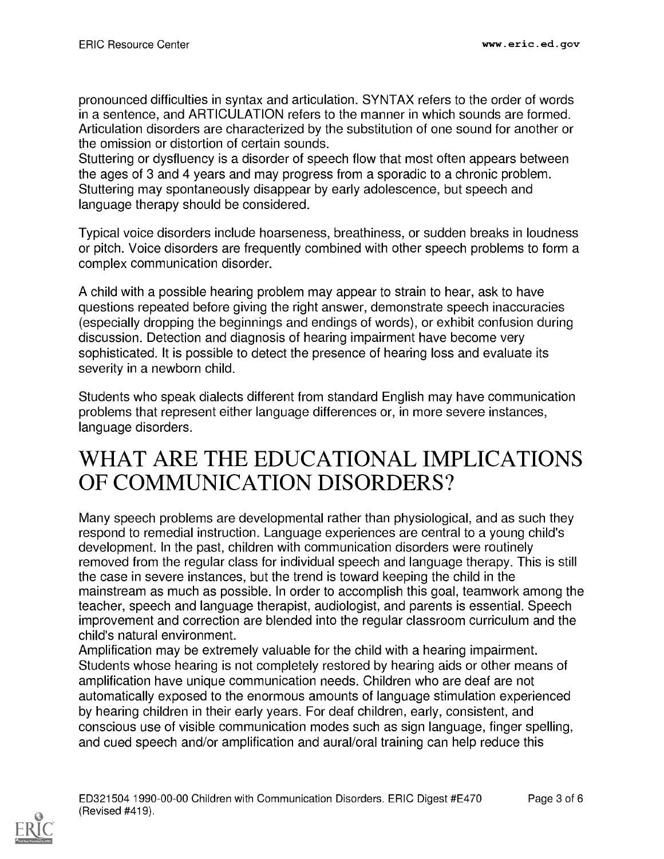pronounced difficulties in syntax and articulation. SYNTAX refers to the order of words in a sentence, and ARTICULATION refers to the manner in which sounds are formed. Articulation disorders are characterized by the substitution of one sound for another or the omission or distortion of certain sounds.

Stuttering or dysfluency is a disorder of speech flow that most often appears between the ages of 3 and 4 years and may progress from a sporadic to a chronic problem. Stuttering may spontaneously disappear by early adolescence, but speech and language therapy should be considered.

Typical voice disorders include hoarseness, breathiness, or sudden breaks in loudness or pitch. Voice disorders are frequently combined with other speech problems to form a complex communication disorder.

A child with a possible hearing problem may appear to strain to hear, ask to have questions repeated before giving the right answer, demonstrate speech inaccuracies (especially dropping the beginnings and endings of words), or exhibit confusion during discussion. Detection and diagnosis of hearing impairment have become very sophisticated. It is possible to detect the presence of hearing loss and evaluate its severity in a newborn child.

Students who speak dialects different from standard English may have communication problems that represent either language differences or, in more severe instances, language disorders.

### WHAT ARE THE EDUCATIONAL IMPLICATIONS OF COMMUNICATION DISORDERS?

Many speech problems are developmental rather than physiological, and as such they respond to remedial instruction. Language experiences are central to a young child's development. In the past, children with communication disorders were routinely removed from the regular class for individual speech and language therapy. This is still the case in severe instances, but the trend is toward keeping the child in the mainstream as much as possible. In order to accomplish this goal, teamwork among the teacher, speech and language therapist, audiologist, and parents is essential. Speech improvement and correction are blended into the regular classroom curriculum and the child's natural environment.

Amplification may be extremely valuable for the child with a hearing impairment. Students whose hearing is not completely restored by hearing aids or other means of amplification have unique communication needs. Children who are deaf are not automatically exposed to the enormous amounts of language stimulation experienced by hearing children in their early years. For deaf children, early, consistent, and conscious use of visible communication modes such as sign language, finger spelling, and cued speech and/or amplification and aural/oral training can help reduce this

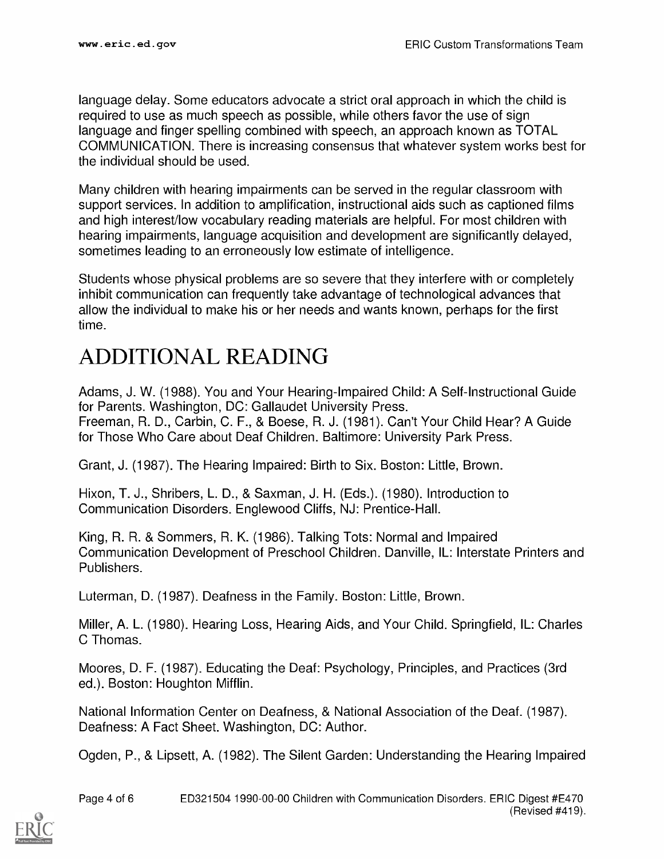language delay. Some educators advocate a strict oral approach in which the child is required to use as much speech as possible, while others favor the use of sign language and finger spelling combined with speech, an approach known as TOTAL COMMUNICATION. There is increasing consensus that whatever system works best for the individual should be used.

Many children with hearing impairments can be served in the regular classroom with support services. In addition to amplification, instructional aids such as captioned films and high interest/low vocabulary reading materials are helpful. For most children with hearing impairments, language acquisition and development are significantly delayed, sometimes leading to an erroneously low estimate of intelligence.

Students whose physical problems are so severe that they interfere with or completely inhibit communication can frequently take advantage of technological advances that allow the individual to make his or her needs and wants known, perhaps for the first time.

## ADDITIONAL READING

Adams, J. W. (1988). You and Your Hearing-Impaired Child: A Self-Instructional Guide for Parents. Washington, DC: Gallaudet University Press. Freeman, R. D., Carbin, C. F., & Boese, R. J. (1981). Can't Your Child Hear? A Guide for Those Who Care about Deaf Children. Baltimore: University Park Press.

Grant, J. (1987). The Hearing Impaired: Birth to Six. Boston: Little, Brown.

Hixon, T. J., Shribers, L. D., & Saxman, J. H. (Eds.). (1980). Introduction to Communication Disorders. Englewood Cliffs, NJ: Prentice-Hall.

King, R. R. & Sommers, R. K. (1986). Talking Tots: Normal and Impaired Communication Development of Preschool Children. Danville, IL: Interstate Printers and Publishers.

Luterman, D. (1987). Deafness in the Family. Boston: Little, Brown.

Miller, A. L. (1980). Hearing Loss, Hearing Aids, and Your Child. Springfield, IL: Charles C Thomas.

Moores, D. F. (1987). Educating the Deaf: Psychology, Principles, and Practices (3rd ed.). Boston: Houghton Mifflin.

National Information Center on Deafness, & National Association of the Deaf. (1987). Deafness: A Fact Sheet. Washington, DC: Author.

Ogden, P., & Lipsett, A. (1982). The Silent Garden: Understanding the Hearing Impaired

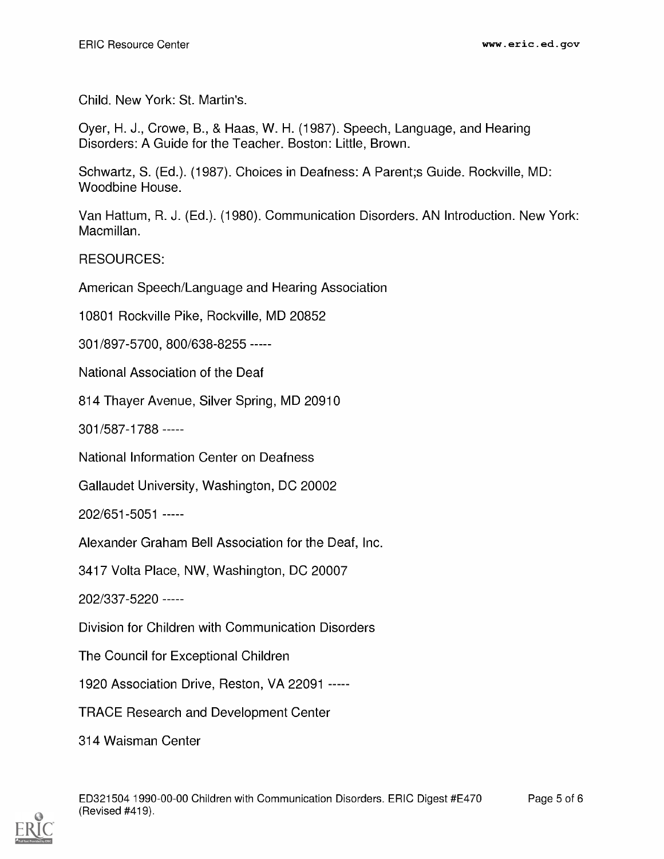Child. New York: St. Martin's.

Oyer, H. J., Crowe, B., & Haas, W. H. (1987). Speech, Language, and Hearing Disorders: A Guide for the Teacher. Boston: Little, Brown.

Schwartz, S. (Ed.). (1987). Choices in Deafness: A Parent;s Guide. Rockville, MD: Woodbine House.

Van Hattum, R. J. (Ed.). (1980). Communication Disorders. AN Introduction. New York: Macmillan.

RESOURCES:

American Speech/Language and Hearing Association

10801 Rockville Pike, Rockville, MD 20852

301/897-5700, 800/638-8255

National Association of the Deaf

814 Thayer Avenue, Silver Spring, MD 20910

301/587-1788

National Information Center on Deafness

Gallaudet University, Washington, DC 20002

202/651-5051

Alexander Graham Bell Association for the Deaf, Inc.

3417 Volta Place, NW, Washington, DC 20007

202/337-5220

Division for Children with Communication Disorders

The Council for Exceptional Children

1920 Association Drive, Reston, VA 22091

TRACE Research and Development Center

314 Waisman Center